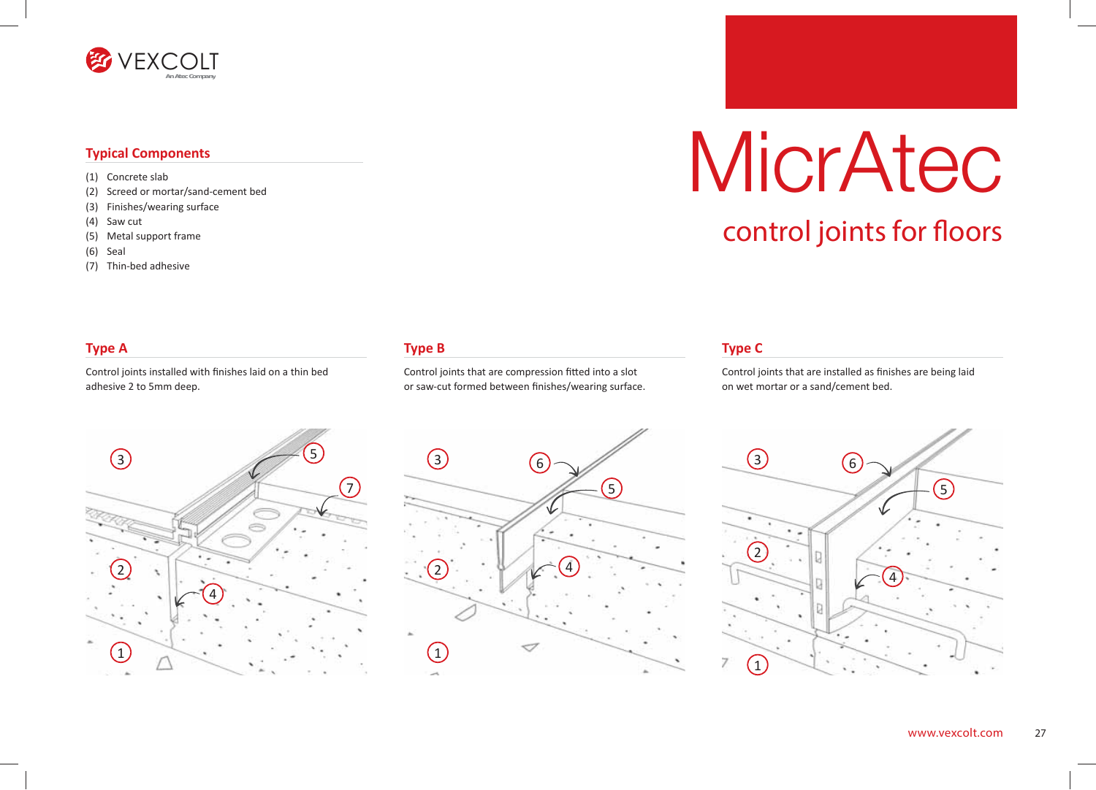

#### **Typical Components**

- (1) Concrete slab
- (2) Screed or mortar/sand-cement bed
- (3) Finishes/wearing surface
- (4) Saw cut
- (5) Metal support frame
- (6) Seal
- (7) Thin-bed adhesive

### **Type B**

Control joints that are compression fitted into a slot or saw-cut formed between finishes/wearing surface.

# MicrAtec

## control joints for floors

### **Type A**

Control joints installed with finishes laid on a thin bed adhesive 2 to 5mm deep.





#### **Type C**

Control joints that are installed as finishes are being laid on wet mortar or a sand/cement bed.

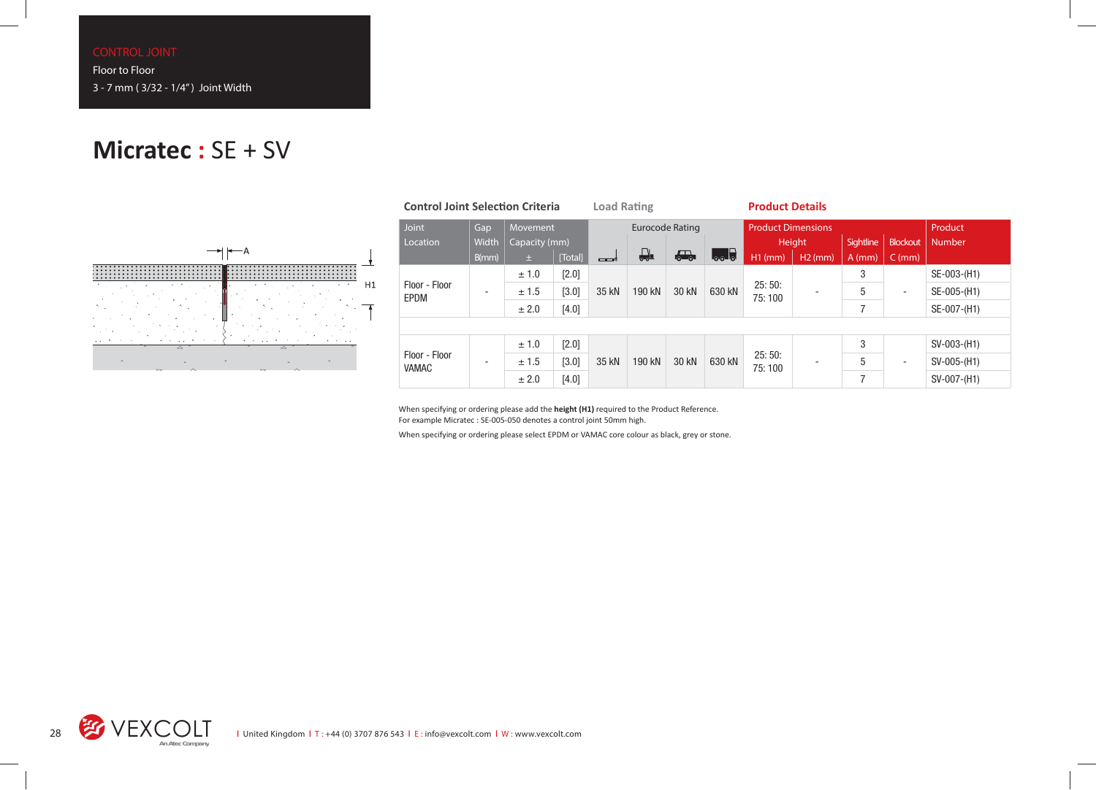## **Micratec :** SE + SV



| <b>Control Joint Selection Criteria</b> |                          |               |         | <b>Load Rating</b>     |        |                          |              | <b>Product Details</b>    |                          |          |                          |             |
|-----------------------------------------|--------------------------|---------------|---------|------------------------|--------|--------------------------|--------------|---------------------------|--------------------------|----------|--------------------------|-------------|
| Joint                                   | Gap                      | Movement      |         | <b>Eurocode Rating</b> |        |                          |              | <b>Product Dimensions</b> |                          |          |                          | Product     |
| Location                                | Width                    | Capacity (mm) |         |                        |        |                          | Height       |                           | <b>Sightline</b>         | Blockout | Number                   |             |
|                                         | B(mm)                    | 土             | [Total] | ——∧*                   | ₽      | $\overline{\phantom{a}}$ | $L_{\infty}$ | H <sub>1</sub> (mm)       | $H2$ (mm)                | $A$ (mm) | $C$ (mm)                 |             |
| Floor - Floor<br>EPDM                   | $\overline{\phantom{0}}$ | ± 1.0         | [2.0]   | 35 kN                  | 190 kN | 30 kN                    | 630 kN       | 25:50:<br>75:100          | $\overline{\phantom{0}}$ | 3        | $\overline{\phantom{a}}$ | SE-003-(H1) |
|                                         |                          | ± 1.5         | [3.0]   |                        |        |                          |              |                           |                          | 5        |                          | SE-005-(H1) |
|                                         |                          | ± 2.0         | [4.0]   |                        |        |                          |              |                           |                          | 7        |                          | SE-007-(H1) |
|                                         |                          |               |         |                        |        |                          |              |                           |                          |          |                          |             |
| Floor - Floor<br><b>VAMAC</b>           |                          | ± 1.0         | $[2.0]$ | 35 kN                  | 190 kN | 30 kN                    | 630 kN       | 25:50:<br>75:100          | $\overline{\phantom{a}}$ | 3        |                          | SV-003-(H1) |
|                                         |                          | ± 1.5         | [3.0]   |                        |        |                          |              |                           |                          | 5        | $\overline{\phantom{a}}$ | SV-005-(H1) |
|                                         |                          | ± 2.0         | $[4.0]$ |                        |        |                          |              |                           |                          | 7        |                          | SV-007-(H1) |

When specifying or ordering please add the **height (H1)** required to the Product Reference. For example Micratec : SE-005-050 denotes a control joint 50mm high.

When specifying or ordering please select EPDM or VAMAC core colour as black, grey or stone.